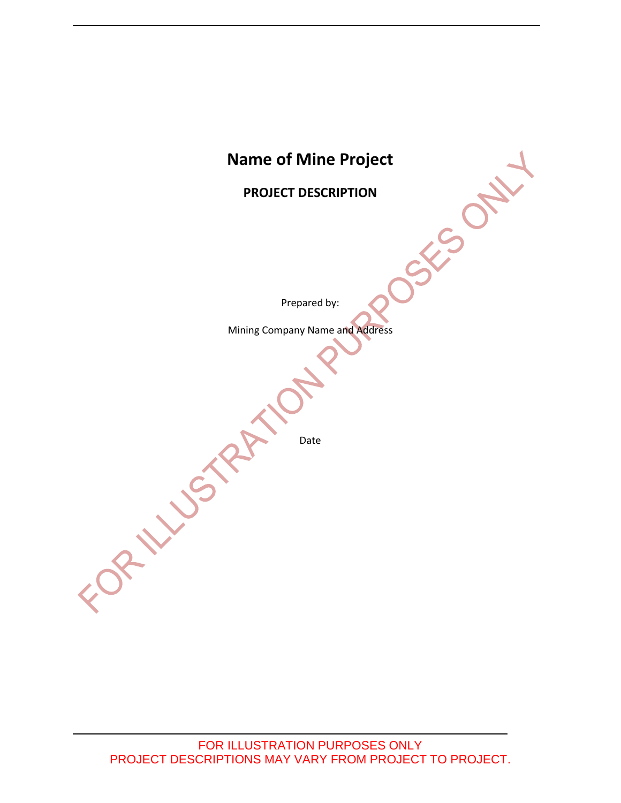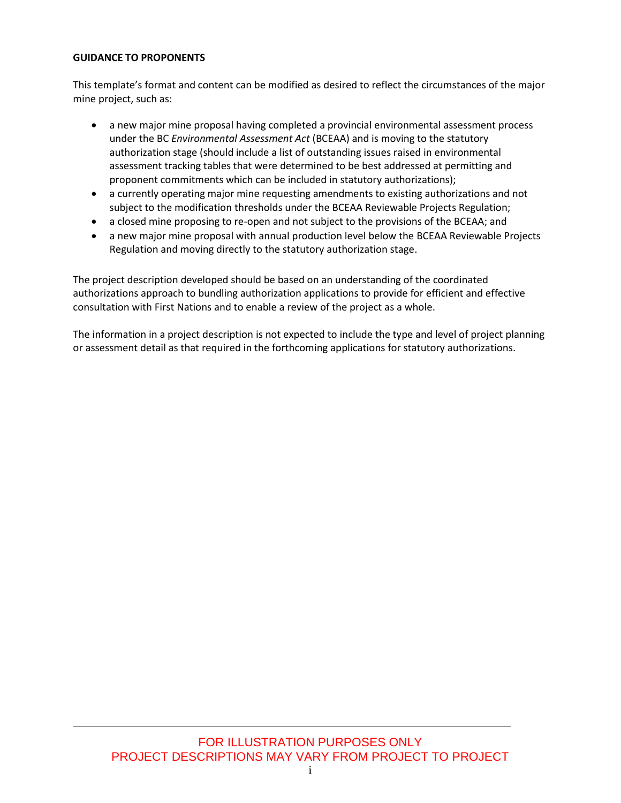#### **GUIDANCE TO PROPONENTS**

This template's format and content can be modified as desired to reflect the circumstances of the major mine project, such as:

- a new major mine proposal having completed a provincial environmental assessment process under the BC *Environmental Assessment Act* (BCEAA) and is moving to the statutory authorization stage (should include a list of outstanding issues raised in environmental assessment tracking tables that were determined to be best addressed at permitting and proponent commitments which can be included in statutory authorizations);
- a currently operating major mine requesting amendments to existing authorizations and not subject to the modification thresholds under the BCEAA Reviewable Projects Regulation;
- a closed mine proposing to re-open and not subject to the provisions of the BCEAA; and
- a new major mine proposal with annual production level below the BCEAA Reviewable Projects Regulation and moving directly to the statutory authorization stage.

The project description developed should be based on an understanding of the coordinated authorizations approach to bundling authorization applications to provide for efficient and effective consultation with First Nations and to enable a review of the project as a whole.

The information in a project description is not expected to include the type and level of project planning or assessment detail as that required in the forthcoming applications for statutory authorizations.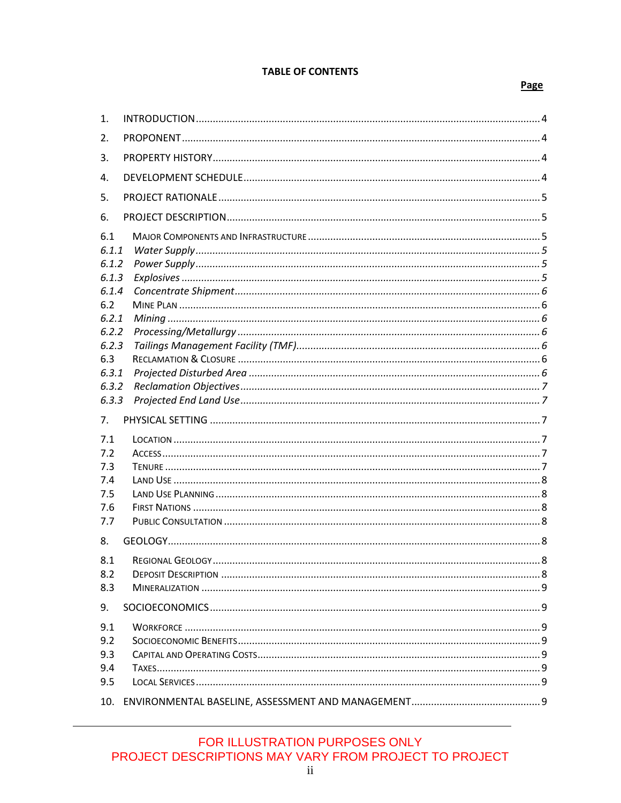#### **TABLE OF CONTENTS**

#### Page

| 1.                                                                                                 |  |
|----------------------------------------------------------------------------------------------------|--|
| 2.                                                                                                 |  |
| 3.                                                                                                 |  |
| 4.                                                                                                 |  |
| 5.                                                                                                 |  |
| 6.                                                                                                 |  |
| 6.1<br>6.1.1<br>6.1.2<br>6.1.3<br>6.1.4<br>6.2<br>6.2.1<br>6.2.2<br>6.2.3<br>6.3<br>6.3.1<br>6.3.2 |  |
|                                                                                                    |  |
| 6.3.3                                                                                              |  |
| 7.<br>7.1<br>7.2<br>7.3<br>7.4<br>7.5<br>7.6<br>7.7                                                |  |
| 8.                                                                                                 |  |
| 8.1<br>8.2<br>8.3                                                                                  |  |
| 9.                                                                                                 |  |
| 9.1<br>9.2<br>9.3<br>9.4<br>9.5                                                                    |  |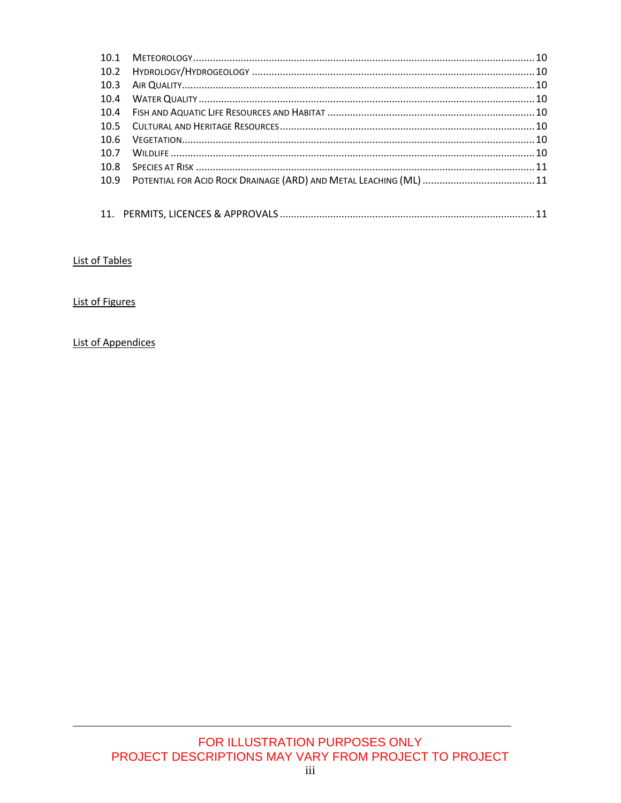| 10.1 |  |
|------|--|
|      |  |
| 10.3 |  |
| 10.4 |  |
|      |  |
|      |  |
| 10.6 |  |
| 10.7 |  |
| 10.8 |  |
|      |  |
|      |  |
|      |  |

## List of Tables

# **List of Figures**

# **List of Appendices**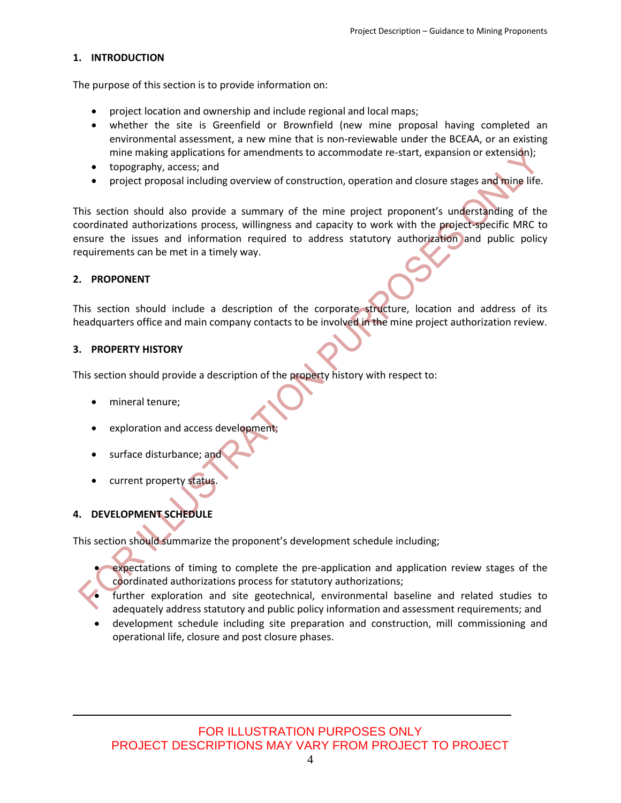#### <span id="page-4-0"></span>**1. INTRODUCTION**

The purpose of this section is to provide information on:

- project location and ownership and include regional and local maps;
- whether the site is Greenfield or Brownfield (new mine proposal having completed an environmental assessment, a new mine that is non-reviewable under the BCEAA, or an existing mine making applications for amendments to accommodate re-start, expansion or extension);
- topography, access; and
- project proposal including overview of construction, operation and closure stages and mine life.

This section should also provide a summary of the mine project proponent's understanding of the coordinated authorizations process, willingness and capacity to work with the project-specific MRC to ensure the issues and information required to address statutory authorization and public policy requirements can be met in a timely way.

#### <span id="page-4-1"></span>**2. PROPONENT**

This section should include a description of the corporate structure, location and address of its headquarters office and main company contacts to be involved in the mine project authorization review.

#### <span id="page-4-2"></span>**3. PROPERTY HISTORY**

This section should provide a description of the property history with respect to:

- mineral tenure;
- exploration and access development;
- surface disturbance; and
- current property status.

#### <span id="page-4-3"></span>**4. DEVELOPMENT SCHEDULE**

This section should summarize the proponent's development schedule including;

- expectations of timing to complete the pre-application and application review stages of the coordinated authorizations process for statutory authorizations;
- further exploration and site geotechnical, environmental baseline and related studies to adequately address statutory and public policy information and assessment requirements; and
- development schedule including site preparation and construction, mill commissioning and operational life, closure and post closure phases.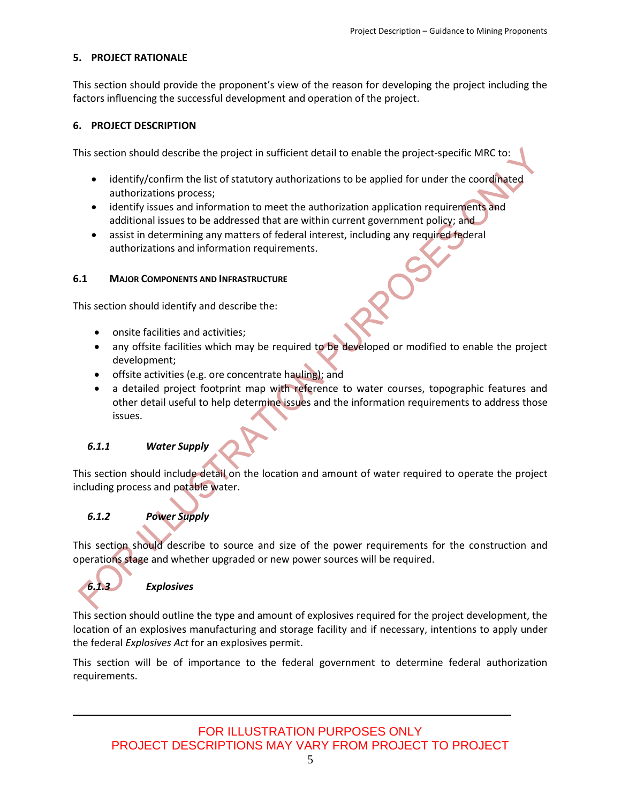#### <span id="page-5-0"></span>**5. PROJECT RATIONALE**

This section should provide the proponent's view of the reason for developing the project including the factors influencing the successful development and operation of the project.

#### <span id="page-5-1"></span>**6. PROJECT DESCRIPTION**

This section should describe the project in sufficient detail to enable the project-specific MRC to:

- identify/confirm the list of statutory authorizations to be applied for under the coordinated authorizations process;
- identify issues and information to meet the authorization application requirements and additional issues to be addressed that are within current government policy; and
- assist in determining any matters of federal interest, including any required federal authorizations and information requirements.

#### <span id="page-5-2"></span>**6.1 MAJOR COMPONENTS AND INFRASTRUCTURE**

This section should identify and describe the:

- onsite facilities and activities:
- any offsite facilities which may be required to be developed or modified to enable the project development;
- offsite activities (e.g. ore concentrate hauling); and
- a detailed project footprint map with reference to water courses, topographic features and other detail useful to help determine issues and the information requirements to address those issues.

#### <span id="page-5-3"></span>*6.1.1 Water Supply*

This section should include detail on the location and amount of water required to operate the project including process and potable water.

#### <span id="page-5-4"></span>*6.1.2 Power Supply*

This section should describe to source and size of the power requirements for the construction and operations stage and whether upgraded or new power sources will be required.

<span id="page-5-5"></span>

#### *6.1.3 Explosives*

This section should outline the type and amount of explosives required for the project development, the location of an explosives manufacturing and storage facility and if necessary, intentions to apply under the federal *Explosives Act* for an explosives permit.

This section will be of importance to the federal government to determine federal authorization requirements.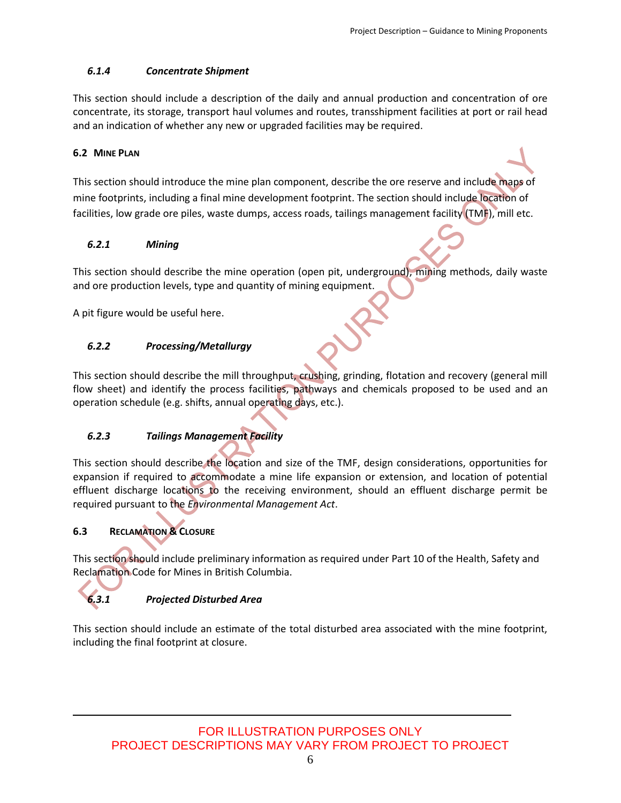# <span id="page-6-0"></span>*6.1.4 Concentrate Shipment*

This section should include a description of the daily and annual production and concentration of ore concentrate, its storage, transport haul volumes and routes, transshipment facilities at port or rail head and an indication of whether any new or upgraded facilities may be required.

# <span id="page-6-1"></span>**6.2 MINE PLAN**

This section should introduce the mine plan component, describe the ore reserve and include maps of mine footprints, including a final mine development footprint. The section should include location of facilities, low grade ore piles, waste dumps, access roads, tailings management facility (TMF), mill etc.

# <span id="page-6-2"></span>*6.2.1 Mining*

This section should describe the mine operation (open pit, underground), mining methods, daily waste and ore production levels, type and quantity of mining equipment.

A pit figure would be useful here.

# <span id="page-6-3"></span>*6.2.2 Processing/Metallurgy*

This section should describe the mill throughput, crushing, grinding, flotation and recovery (general mill flow sheet) and identify the process facilities, pathways and chemicals proposed to be used and an operation schedule (e.g. shifts, annual operating days, etc.).

# <span id="page-6-4"></span>*6.2.3 Tailings Management Facility*

This section should describe the location and size of the TMF, design considerations, opportunities for expansion if required to accommodate a mine life expansion or extension, and location of potential effluent discharge locations to the receiving environment, should an effluent discharge permit be required pursuant to the *Environmental Management Act*.

# <span id="page-6-5"></span>**6.3 RECLAMATION & CLOSURE**

This section should include preliminary information as required under Part 10 of the Health, Safety and Reclamation Code for Mines in British Columbia.

# <span id="page-6-6"></span>*6.3.1 Projected Disturbed Area*

This section should include an estimate of the total disturbed area associated with the mine footprint, including the final footprint at closure.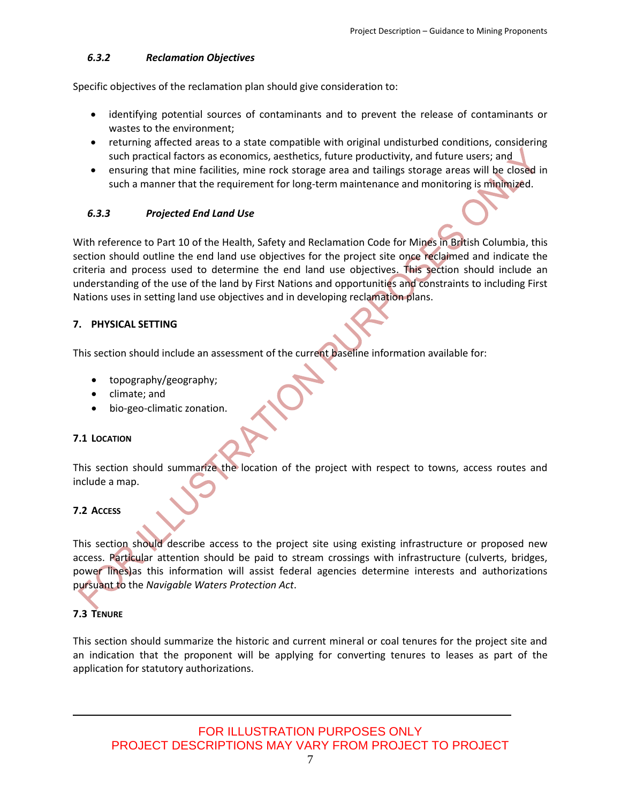### <span id="page-7-0"></span>*6.3.2 Reclamation Objectives*

Specific objectives of the reclamation plan should give consideration to:

- identifying potential sources of contaminants and to prevent the release of contaminants or wastes to the environment;
- returning affected areas to a state compatible with original undisturbed conditions, considering such practical factors as economics, aesthetics, future productivity, and future users; and
- ensuring that mine facilities, mine rock storage area and tailings storage areas will be closed in such a manner that the requirement for long-term maintenance and monitoring is minimized.

#### <span id="page-7-1"></span>*6.3.3 Projected End Land Use*

With reference to Part 10 of the Health, Safety and Reclamation Code for Mines in British Columbia, this section should outline the end land use objectives for the project site once reclaimed and indicate the criteria and process used to determine the end land use objectives. This section should include an understanding of the use of the land by First Nations and opportunities and constraints to including First Nations uses in setting land use objectives and in developing reclamation plans.

#### <span id="page-7-2"></span>**7. PHYSICAL SETTING**

This section should include an assessment of the current baseline information available for:

- topography/geography;
- climate; and
- bio-geo-climatic zonation.

#### <span id="page-7-3"></span>**7.1 LOCATION**

This section should summarize the location of the project with respect to towns, access routes and include a map.

# <span id="page-7-4"></span>**7.2 ACCESS**

This section should describe access to the project site using existing infrastructure or proposed new access. Particular attention should be paid to stream crossings with infrastructure (culverts, bridges, power lines)as this information will assist federal agencies determine interests and authorizations pursuant to the *Navigable Waters Protection Act*.

# <span id="page-7-5"></span>**7.3 TENURE**

This section should summarize the historic and current mineral or coal tenures for the project site and an indication that the proponent will be applying for converting tenures to leases as part of the application for statutory authorizations.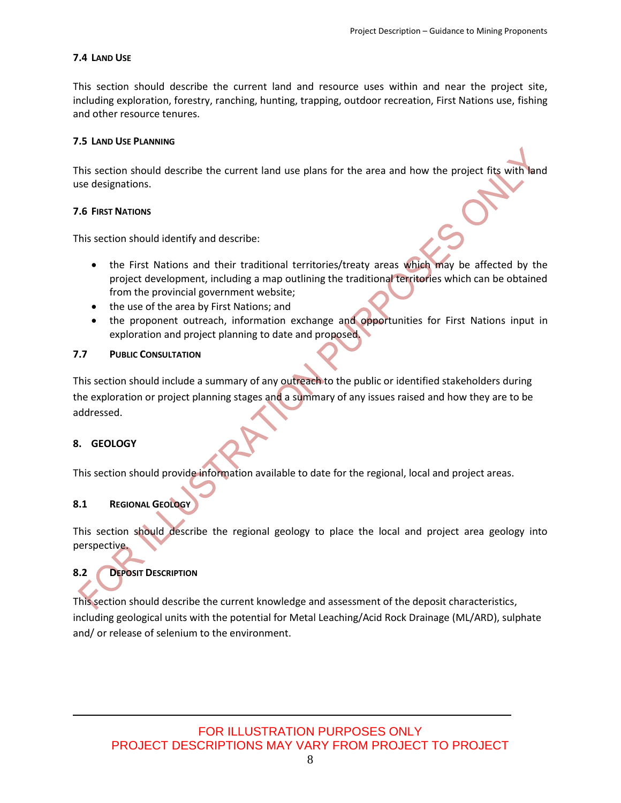#### <span id="page-8-0"></span>**7.4 LAND USE**

This section should describe the current land and resource uses within and near the project site, including exploration, forestry, ranching, hunting, trapping, outdoor recreation, First Nations use, fishing and other resource tenures.

#### <span id="page-8-1"></span>**7.5 LAND USE PLANNING**

This section should describe the current land use plans for the area and how the project fits with land use designations.

#### <span id="page-8-2"></span>**7.6 FIRST NATIONS**

This section should identify and describe:

- the First Nations and their traditional territories/treaty areas which may be affected by the project development, including a map outlining the traditional territories which can be obtained from the provincial government website;
- the use of the area by First Nations; and
- the proponent outreach, information exchange and opportunities for First Nations input in exploration and project planning to date and proposed.

#### <span id="page-8-3"></span>**7.7 PUBLIC CONSULTATION**

This section should include a summary of any outreach to the public or identified stakeholders during the exploration or project planning stages and a summary of any issues raised and how they are to be addressed.

#### <span id="page-8-4"></span>**8. GEOLOGY**

This section should provide information available to date for the regional, local and project areas.

#### <span id="page-8-5"></span>**8.1 REGIONAL GEOLOGY**

This section should describe the regional geology to place the local and project area geology into perspective.

#### <span id="page-8-6"></span>**8.2 DEPOSIT DESCRIPTION**

This section should describe the current knowledge and assessment of the deposit characteristics, including geological units with the potential for Metal Leaching/Acid Rock Drainage (ML/ARD), sulphate and/ or release of selenium to the environment.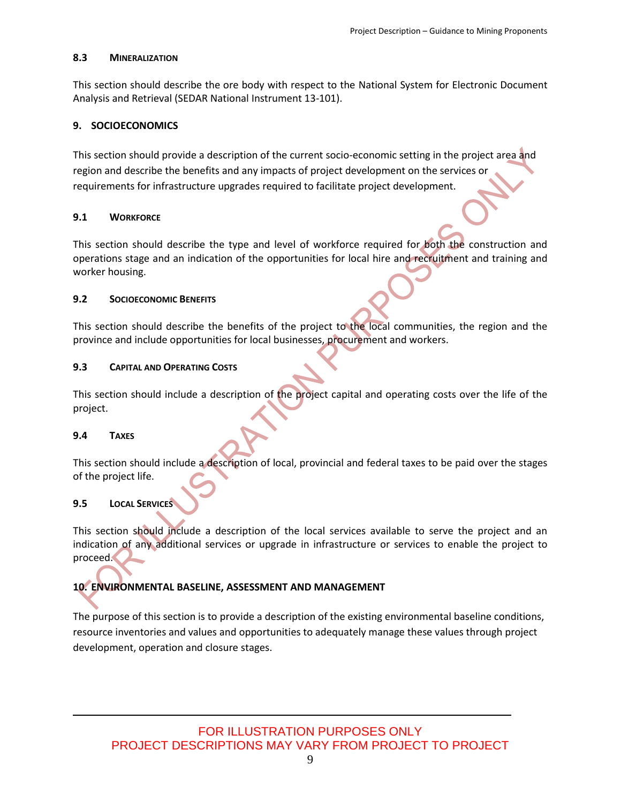#### <span id="page-9-0"></span>**8.3 MINERALIZATION**

This section should describe the ore body with respect to the National System for Electronic Document Analysis and Retrieval (SEDAR National Instrument 13-101).

#### <span id="page-9-1"></span>**9. SOCIOECONOMICS**

This section should provide a description of the current socio-economic setting in the project area and region and describe the benefits and any impacts of project development on the services or requirements for infrastructure upgrades required to facilitate project development.

#### <span id="page-9-2"></span>**9.1 WORKFORCE**

This section should describe the type and level of workforce required for both the construction and operations stage and an indication of the opportunities for local hire and recruitment and training and worker housing.

#### <span id="page-9-3"></span>**9.2 SOCIOECONOMIC BENEFITS**

This section should describe the benefits of the project to the local communities, the region and the province and include opportunities for local businesses, procurement and workers.

#### <span id="page-9-4"></span>**9.3 CAPITAL AND OPERATING COSTS**

This section should include a description of the project capital and operating costs over the life of the project.

#### <span id="page-9-5"></span>**9.4 TAXES**

This section should include a description of local, provincial and federal taxes to be paid over the stages of the project life.

#### <span id="page-9-6"></span>**9.5 LOCAL SERVICES**

This section should include a description of the local services available to serve the project and an indication of any additional services or upgrade in infrastructure or services to enable the project to proceed.

#### <span id="page-9-7"></span>**10. ENVIRONMENTAL BASELINE, ASSESSMENT AND MANAGEMENT**

The purpose of this section is to provide a description of the existing environmental baseline conditions, resource inventories and values and opportunities to adequately manage these values through project development, operation and closure stages.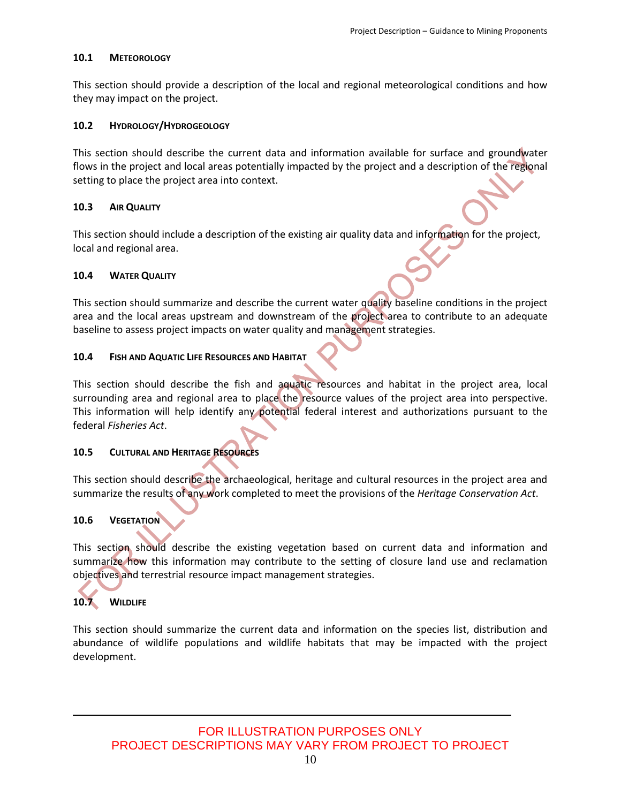#### <span id="page-10-0"></span>**10.1 METEOROLOGY**

This section should provide a description of the local and regional meteorological conditions and how they may impact on the project.

#### <span id="page-10-1"></span>**10.2 HYDROLOGY/HYDROGEOLOGY**

This section should describe the current data and information available for surface and groundwater flows in the project and local areas potentially impacted by the project and a description of the regional setting to place the project area into context.

#### <span id="page-10-2"></span>**10.3 AIR QUALITY**

This section should include a description of the existing air quality data and information for the project, local and regional area.

#### <span id="page-10-3"></span>**10.4 WATER QUALITY**

This section should summarize and describe the current water quality baseline conditions in the project area and the local areas upstream and downstream of the project area to contribute to an adequate baseline to assess project impacts on water quality and management strategies.

#### <span id="page-10-4"></span>**10.4 FISH AND AQUATIC LIFE RESOURCES AND HABITAT**

This section should describe the fish and aquatic resources and habitat in the project area, local surrounding area and regional area to place the resource values of the project area into perspective. This information will help identify any potential federal interest and authorizations pursuant to the federal *Fisheries Act*.

#### <span id="page-10-5"></span>**10.5 CULTURAL AND HERITAGE RESOURCES**

This section should describe the archaeological, heritage and cultural resources in the project area and summarize the results of any work completed to meet the provisions of the *Heritage Conservation Act*.

#### <span id="page-10-6"></span>**10.6 VEGETATION**

This section should describe the existing vegetation based on current data and information and summarize how this information may contribute to the setting of closure land use and reclamation objectives and terrestrial resource impact management strategies.

# <span id="page-10-7"></span>**10.7 WILDLIFE**

This section should summarize the current data and information on the species list, distribution and abundance of wildlife populations and wildlife habitats that may be impacted with the project development.